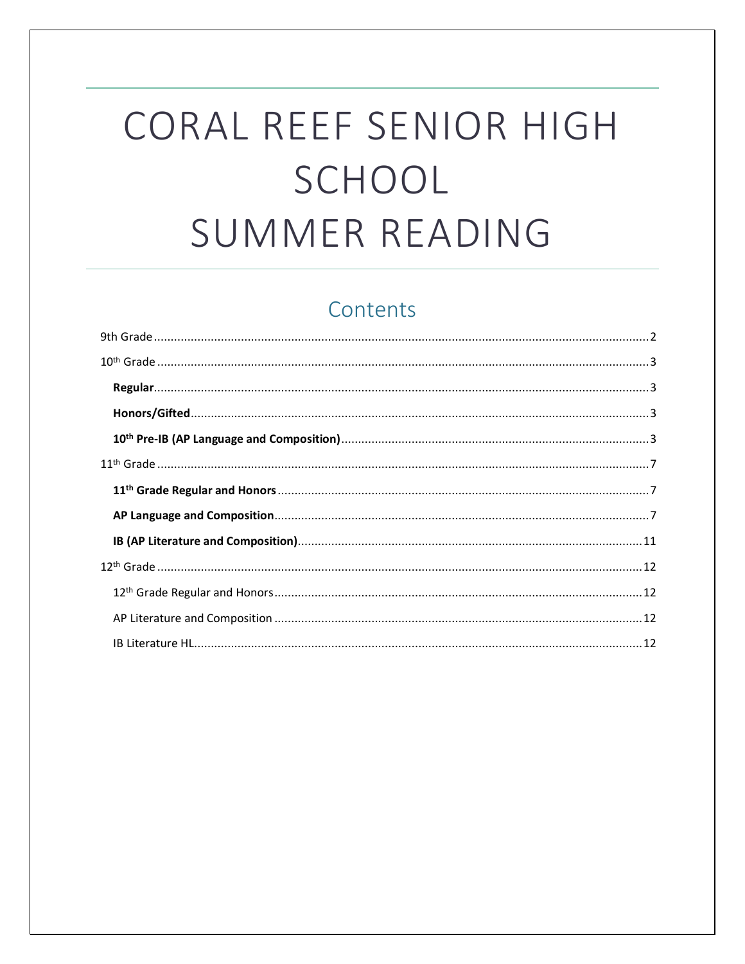# CORAL REEF SENIOR HIGH SCHOOL SUMMER READING

# Contents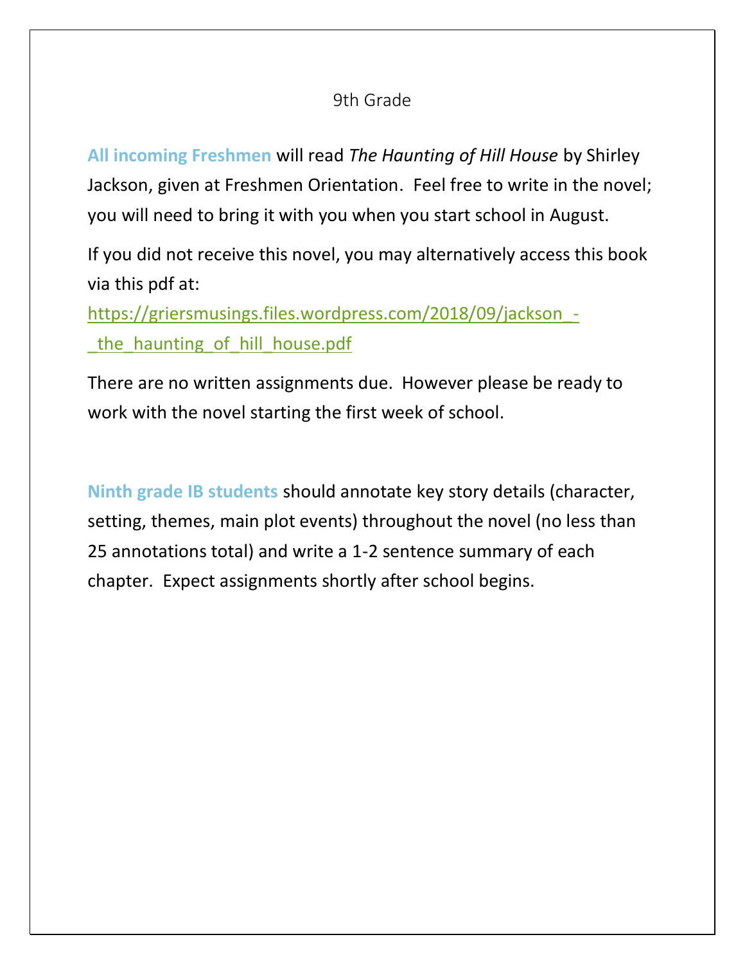## 9th Grade

<span id="page-1-0"></span>**All incoming Freshmen** will read *The Haunting of Hill House* by Shirley Jackson, given at Freshmen Orientation. Feel free to write in the novel; you will need to bring it with you when you start school in August.

If you did not receive this novel, you may alternatively access this book via this pdf at:

[https://griersmusings.files.wordpress.com/2018/09/jackson\\_](https://griersmusings.files.wordpress.com/2018/09/jackson_-_the_haunting_of_hill_house.pdf) the haunting of hill house.pdf

There are no written assignments due. However please be ready to work with the novel starting the first week of school.

**Ninth grade IB students** should annotate key story details (character, setting, themes, main plot events) throughout the novel (no less than 25 annotations total) and write a 1-2 sentence summary of each chapter. Expect assignments shortly after school begins.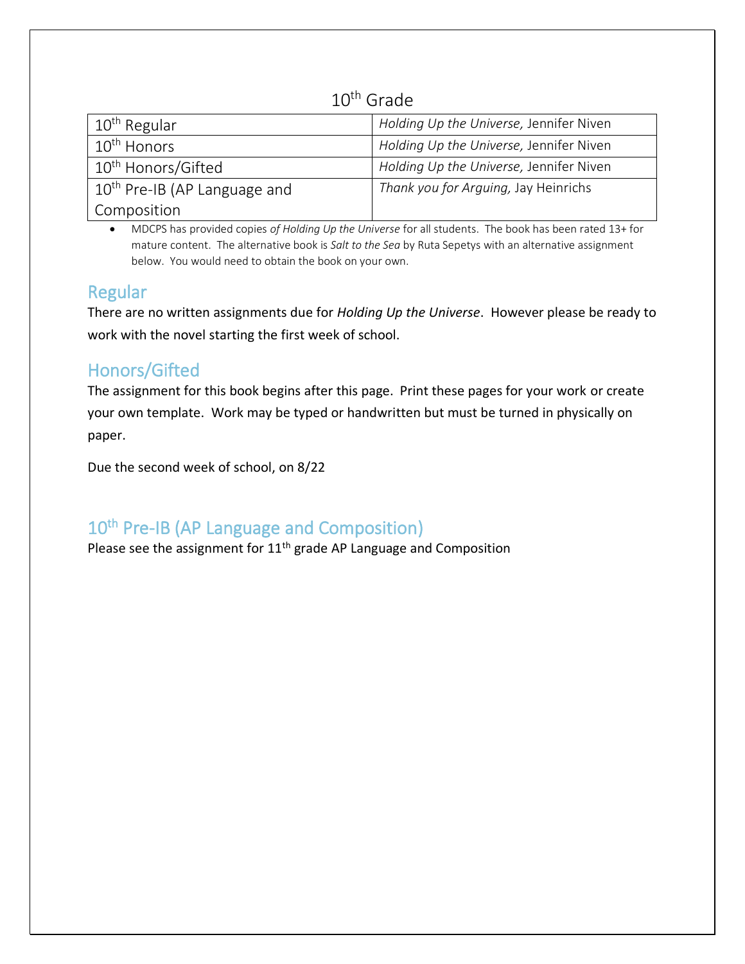## 10th Grade

<span id="page-2-0"></span>

| $10th$ Regular                           | Holding Up the Universe, Jennifer Niven |
|------------------------------------------|-----------------------------------------|
| 10 <sup>th</sup> Honors                  | Holding Up the Universe, Jennifer Niven |
| 10 <sup>th</sup> Honors/Gifted           | Holding Up the Universe, Jennifer Niven |
| 10 <sup>th</sup> Pre-IB (AP Language and | Thank you for Arguing, Jay Heinrichs    |
| <sup>I</sup> Composition                 |                                         |

• MDCPS has provided copies *of Holding Up the Universe* for all students. The book has been rated 13+ for mature content. The alternative book is *Salt to the Sea* by Ruta Sepetys with an alternative assignment below. You would need to obtain the book on your own.

## <span id="page-2-1"></span>Regular

There are no written assignments due for *Holding Up the Universe*. However please be ready to work with the novel starting the first week of school.

# <span id="page-2-2"></span>Honors/Gifted

The assignment for this book begins after this page. Print these pages for your work or create your own template. Work may be typed or handwritten but must be turned in physically on paper.

Due the second week of school, on 8/22

# <span id="page-2-3"></span>10<sup>th</sup> Pre-IB (AP Language and Composition)

Please see the assignment for  $11^{\text{th}}$  grade AP Language and Composition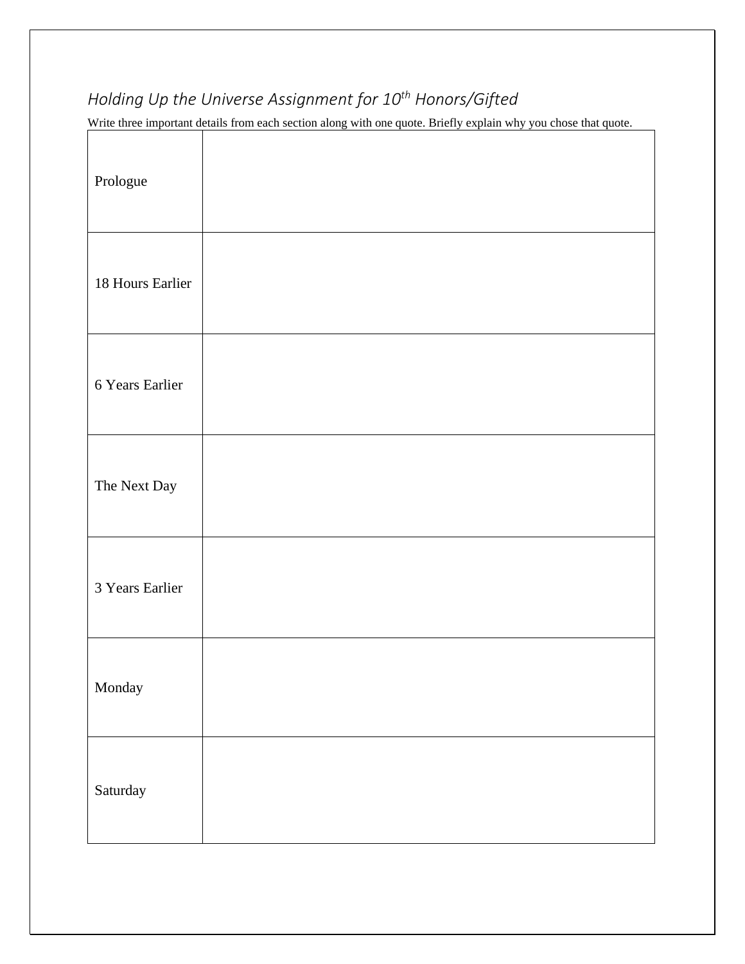# *Holding Up the Universe Assignment for 10th Honors/Gifted*

Write three important details from each section along with one quote. Briefly explain why you chose that quote.

| Prologue         |  |
|------------------|--|
| 18 Hours Earlier |  |
| 6 Years Earlier  |  |
| The Next Day     |  |
| 3 Years Earlier  |  |
| Monday           |  |
| Saturday         |  |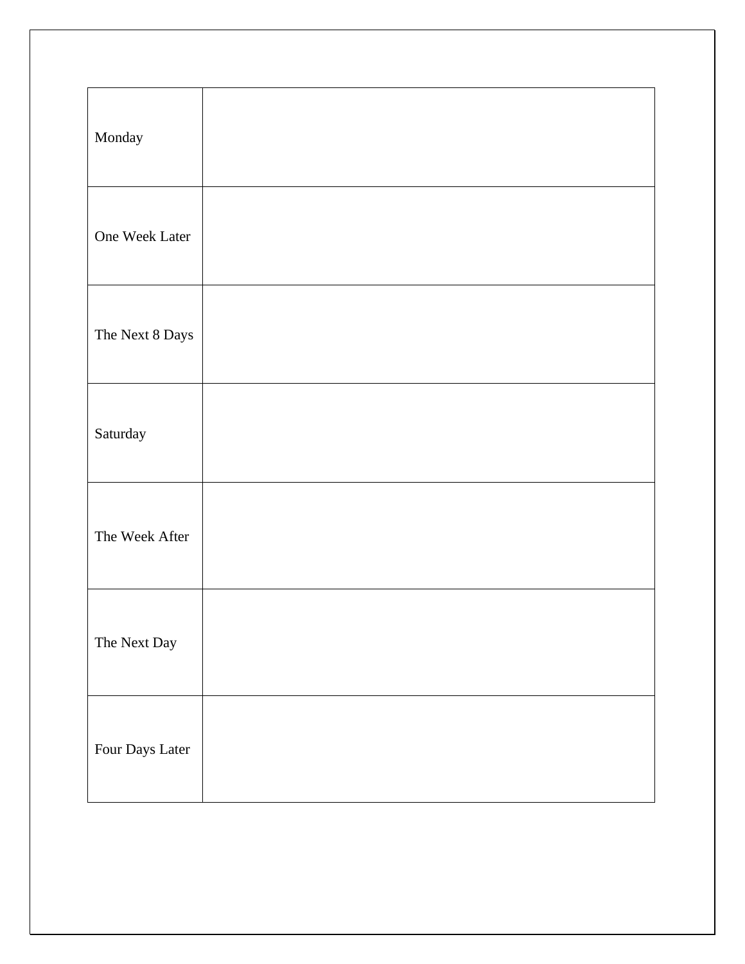| Monday          |  |
|-----------------|--|
| One Week Later  |  |
| The Next 8 Days |  |
| Saturday        |  |
| The Week After  |  |
| The Next Day    |  |
| Four Days Later |  |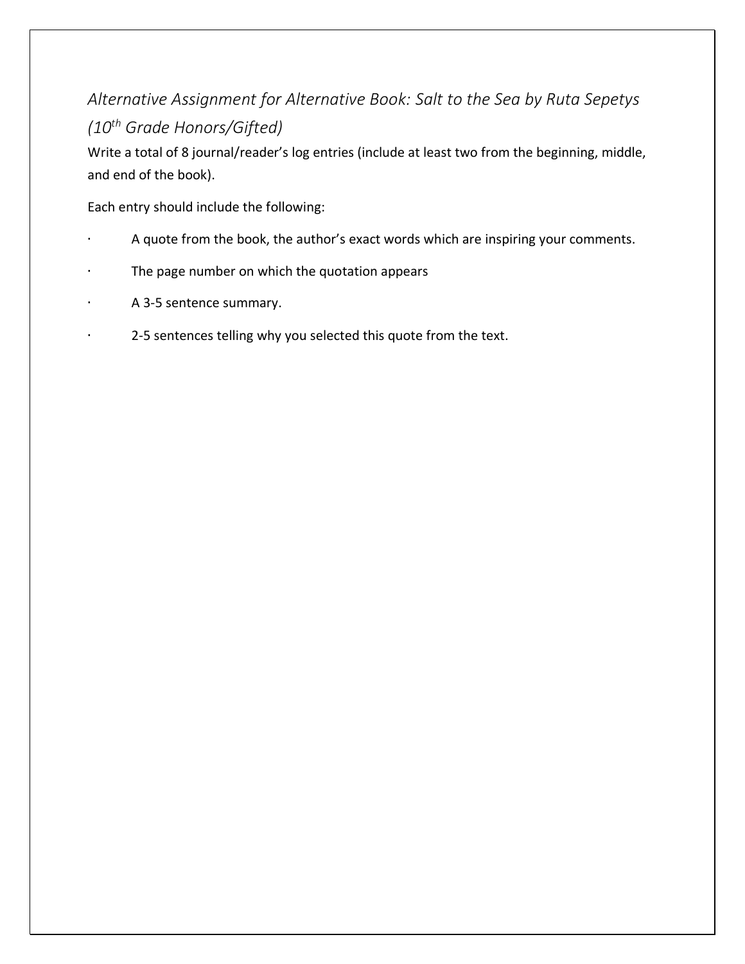# *Alternative Assignment for Alternative Book: Salt to the Sea by Ruta Sepetys (10th Grade Honors/Gifted)*

Write a total of 8 journal/reader's log entries (include at least two from the beginning, middle, and end of the book).

Each entry should include the following:

- ∙ A quote from the book, the author's exact words which are inspiring your comments.
- ∙ The page number on which the quotation appears
- ∙ A 3-5 sentence summary.
- 2-5 sentences telling why you selected this quote from the text.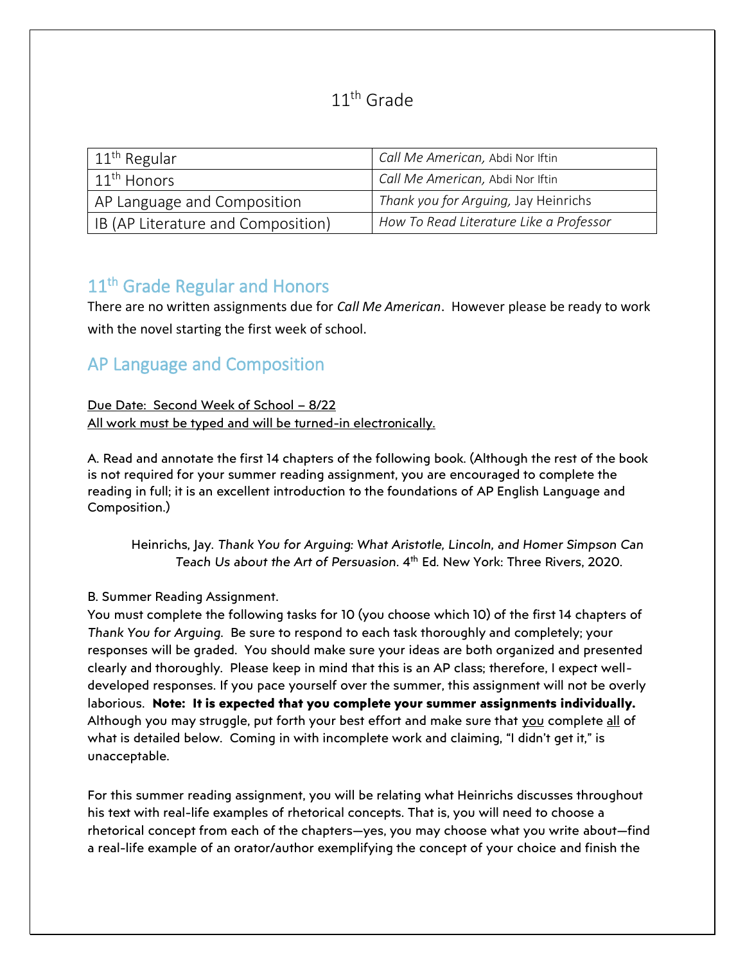## 11<sup>th</sup> Grade

<span id="page-6-0"></span>

| $11th$ Regular                     | Call Me American, Abdi Nor Iftin        |
|------------------------------------|-----------------------------------------|
| $11th$ Honors                      | Call Me American, Abdi Nor Iftin        |
| AP Language and Composition        | Thank you for Arguing, Jay Heinrichs    |
| IB (AP Literature and Composition) | How To Read Literature Like a Professor |

# <span id="page-6-1"></span>11<sup>th</sup> Grade Regular and Honors

There are no written assignments due for *Call Me American*. However please be ready to work with the novel starting the first week of school.

# <span id="page-6-2"></span>AP Language and Composition

## Due Date: Second Week of School – 8/22 All work must be typed and will be turned-in electronically.

A. Read and annotate the first 14 chapters of the following book. (Although the rest of the book is not required for your summer reading assignment, you are encouraged to complete the reading in full; it is an excellent introduction to the foundations of AP English Language and Composition.)

Heinrichs, Jay. *Thank You for Arguing: What Aristotle, Lincoln, and Homer Simpson Can*  Teach Us about the Art of Persuasion. 4<sup>th</sup> Ed. New York: Three Rivers, 2020.

## B. Summer Reading Assignment.

You must complete the following tasks for 10 (you choose which 10) of the first 14 chapters of *Thank You for Arguing*. Be sure to respond to each task thoroughly and completely; your responses will be graded. You should make sure your ideas are both organized and presented clearly and thoroughly. Please keep in mind that this is an AP class; therefore, I expect welldeveloped responses. If you pace yourself over the summer, this assignment will not be overly laborious. **Note: It is expected that you complete your summer assignments individually.** Although you may struggle, put forth your best effort and make sure that you complete all of what is detailed below. Coming in with incomplete work and claiming, "I didn't get it," is unacceptable.

For this summer reading assignment, you will be relating what Heinrichs discusses throughout his text with real-life examples of rhetorical concepts. That is, you will need to choose a rhetorical concept from each of the chapters—yes, you may choose what you write about—find a real-life example of an orator/author exemplifying the concept of your choice and finish the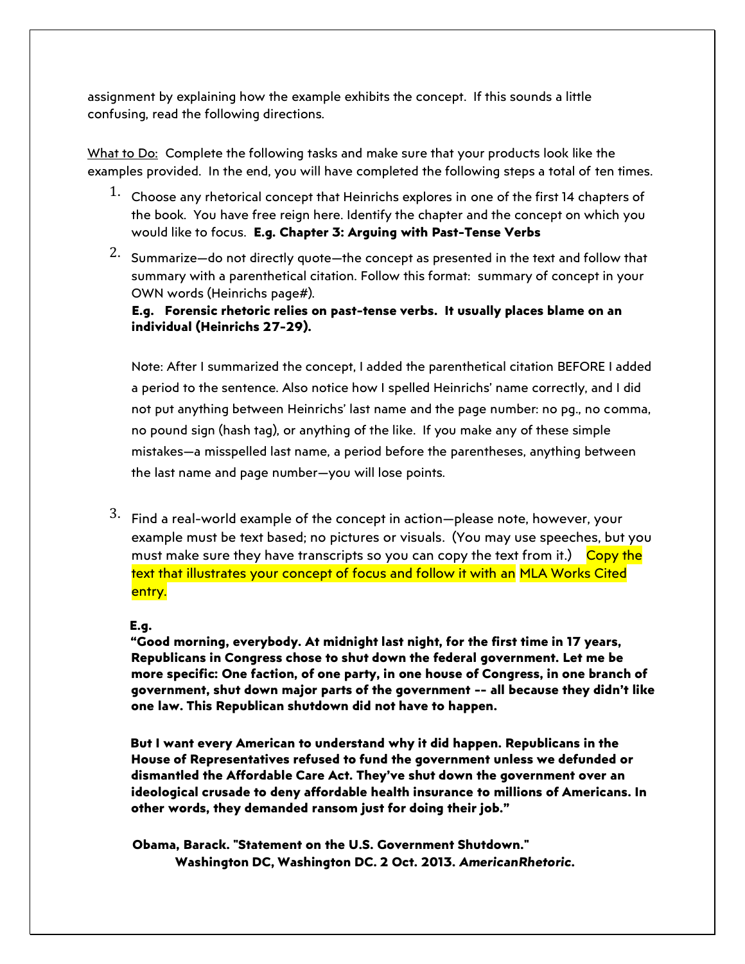assignment by explaining how the example exhibits the concept. If this sounds a little confusing, read the following directions.

What to Do: Complete the following tasks and make sure that your products look like the examples provided. In the end, you will have completed the following steps a total of ten times.

- $1.$  Choose any rhetorical concept that Heinrichs explores in one of the first 14 chapters of the book. You have free reign here. Identify the chapter and the concept on which you would like to focus. **E.g. Chapter 3: Arguing with Past-Tense Verbs**
- 2. Summarize—do not directly quote—the concept as presented in the text and follow that summary with a parenthetical citation. Follow this format: summary of concept in your OWN words (Heinrichs page#).

**E.g. Forensic rhetoric relies on past-tense verbs. It usually places blame on an individual (Heinrichs 27-29).** 

Note: After I summarized the concept, I added the parenthetical citation BEFORE I added a period to the sentence. Also notice how I spelled Heinrichs' name correctly, and I did not put anything between Heinrichs' last name and the page number: no pg., no comma, no pound sign (hash tag), or anything of the like. If you make any of these simple mistakes—a misspelled last name, a period before the parentheses, anything between the last name and page number—you will lose points.

 $3.$  Find a real-world example of the concept in action—please note, however, your example must be text based; no pictures or visuals. (You may use speeches, but you must make sure they have transcripts so you can copy the text from it.) Copy the text that illustrates your concept of focus and follow it with an MLA Works Cited entry.

#### **E.g.**

**"Good morning, everybody. At midnight last night, for the first time in 17 years, Republicans in Congress chose to shut down the federal government. Let me be more specific: One faction, of one party, in one house of Congress, in one branch of government, shut down major parts of the government -- all because they didn't like one law. This Republican shutdown did not have to happen.** 

**But I want every American to understand why it did happen. Republicans in the House of Representatives refused to fund the government unless we defunded or dismantled the Affordable Care Act. They've shut down the government over an ideological crusade to deny affordable health insurance to millions of Americans. In other words, they demanded ransom just for doing their job."** 

**Obama, Barack. "Statement on the U.S. Government Shutdown." Washington DC, Washington DC. 2 Oct. 2013.** *AmericanRhetoric.*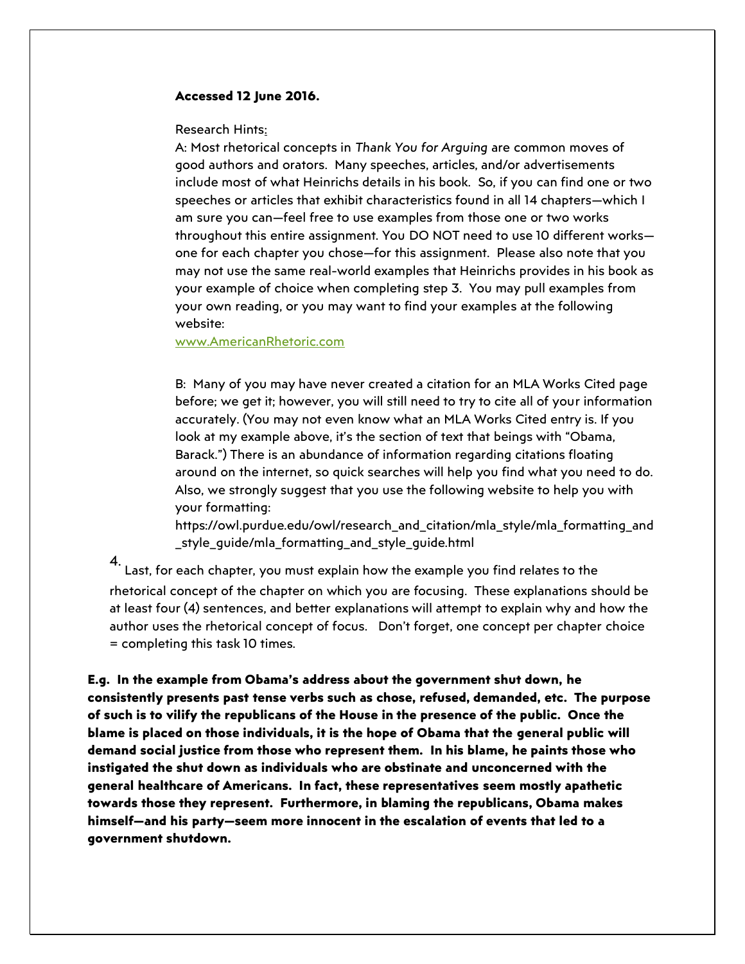#### **Accessed 12 June 2016.**

Research Hints:

A: Most rhetorical concepts in *Thank You for Arguing* are common moves of good authors and orators. Many speeches, articles, and/or advertisements include most of what Heinrichs details in his book. So, if you can find one or two speeches or articles that exhibit characteristics found in all 14 chapters—which I am sure you can—feel free to use examples from those one or two works throughout this entire assignment. You DO NOT need to use 10 different works one for each chapter you chose—for this assignment. Please also note that you may not use the same real-world examples that Heinrichs provides in his book as your example of choice when completing step 3. You may pull examples from your own reading, or you may want to find your examples at the following website:

[www.AmericanRhetoric.com](http://www.americanrhetoric.com/)

B: Many of you may have never created a citation for an MLA Works Cited page before; we get it; however, you will still need to try to cite all of your information accurately. (You may not even know what an MLA Works Cited entry is. If you look at my example above, it's the section of text that beings with "Obama, Barack.") There is an abundance of information regarding citations floating around on the internet, so quick searches will help you find what you need to do. Also, we strongly suggest that you use the following website to help you with your formatting:

https://owl.purdue.edu/owl/research\_and\_citation/mla\_style/mla\_formatting\_and \_style\_guide/mla\_formatting\_and\_style\_guide.html

Last, for each chapter, you must explain how the example you find relates to the rhetorical concept of the chapter on which you are focusing. These explanations should be at least four (4) sentences, and better explanations will attempt to explain why and how the author uses the rhetorical concept of focus. Don't forget, one concept per chapter choice = completing this task 10 times.

**E.g. In the example from Obama's address about the government shut down, he consistently presents past tense verbs such as chose, refused, demanded, etc. The purpose of such is to vilify the republicans of the House in the presence of the public. Once the blame is placed on those individuals, it is the hope of Obama that the general public will demand social justice from those who represent them. In his blame, he paints those who instigated the shut down as individuals who are obstinate and unconcerned with the general healthcare of Americans. In fact, these representatives seem mostly apathetic towards those they represent. Furthermore, in blaming the republicans, Obama makes himself—and his party—seem more innocent in the escalation of events that led to a government shutdown.**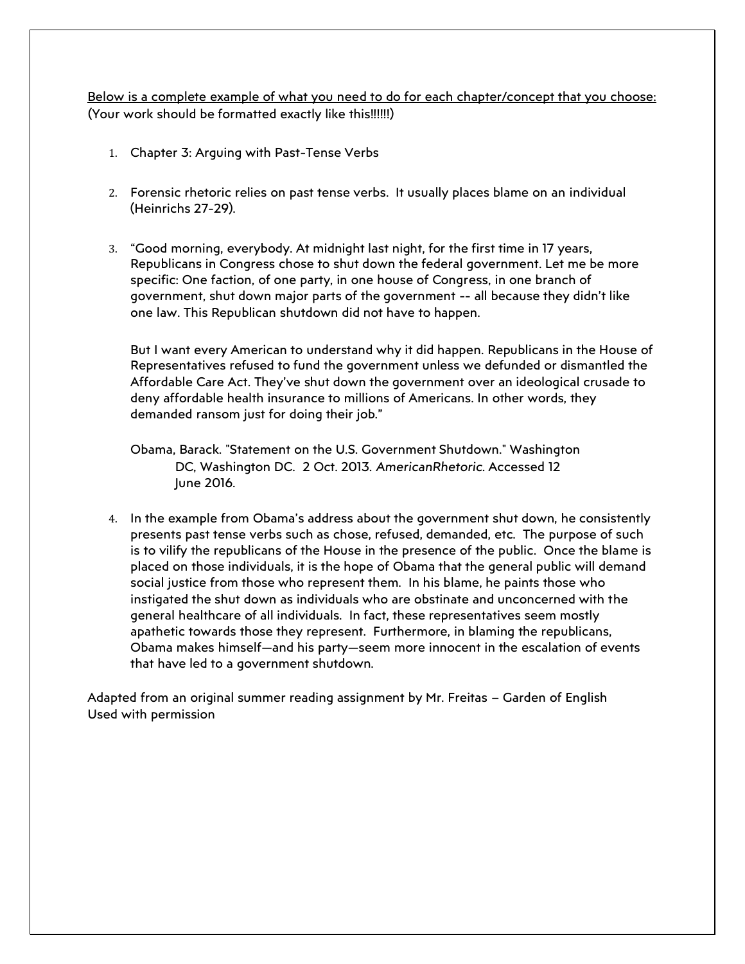Below is a complete example of what you need to do for each chapter/concept that you choose: (Your work should be formatted exactly like this!!!!!!)

- 1. Chapter 3: Arguing with Past-Tense Verbs
- 2. Forensic rhetoric relies on past tense verbs. It usually places blame on an individual (Heinrichs 27-29).
- 3. "Good morning, everybody. At midnight last night, for the first time in 17 years, Republicans in Congress chose to shut down the federal government. Let me be more specific: One faction, of one party, in one house of Congress, in one branch of government, shut down major parts of the government -- all because they didn't like one law. This Republican shutdown did not have to happen.

But I want every American to understand why it did happen. Republicans in the House of Representatives refused to fund the government unless we defunded or dismantled the Affordable Care Act. They've shut down the government over an ideological crusade to deny affordable health insurance to millions of Americans. In other words, they demanded ransom just for doing their job."

- Obama, Barack. "Statement on the U.S. Government Shutdown." Washington DC, Washington DC. 2 Oct. 2013. *AmericanRhetoric*. Accessed 12 June 2016.
- 4. In the example from Obama's address about the government shut down, he consistently presents past tense verbs such as chose, refused, demanded, etc. The purpose of such is to vilify the republicans of the House in the presence of the public. Once the blame is placed on those individuals, it is the hope of Obama that the general public will demand social justice from those who represent them. In his blame, he paints those who instigated the shut down as individuals who are obstinate and unconcerned with the general healthcare of all individuals. In fact, these representatives seem mostly apathetic towards those they represent. Furthermore, in blaming the republicans, Obama makes himself—and his party—seem more innocent in the escalation of events that have led to a government shutdown.

Adapted from an original summer reading assignment by Mr. Freitas – Garden of English Used with permission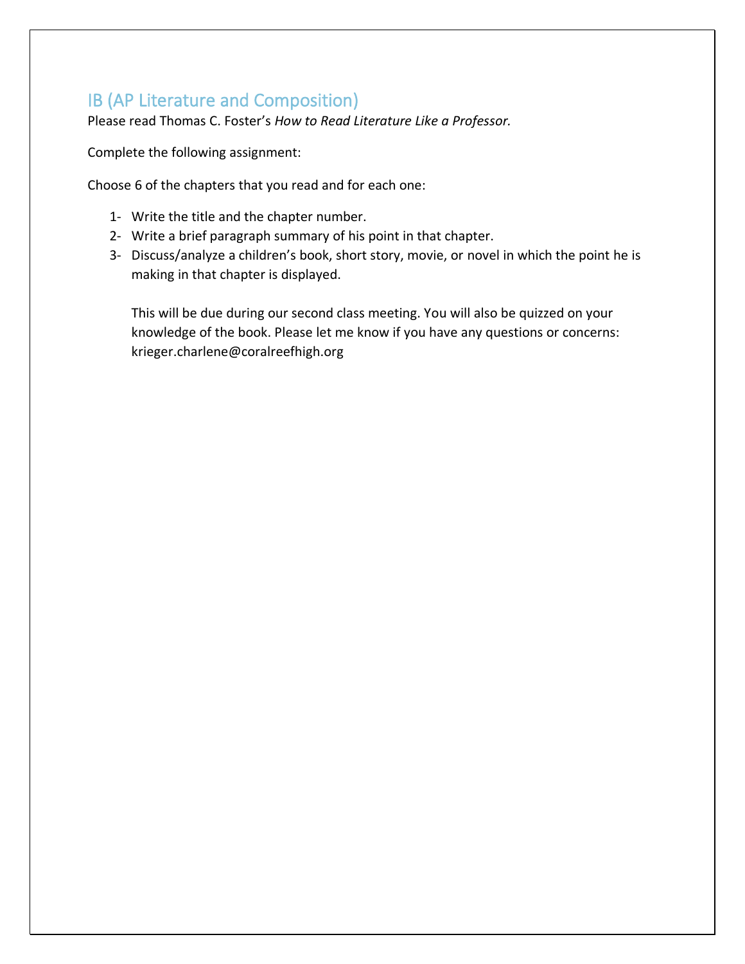## <span id="page-10-0"></span>IB (AP Literature and Composition)

Please read Thomas C. Foster's *How to Read Literature Like a Professor.* 

Complete the following assignment:

Choose 6 of the chapters that you read and for each one:

- 1- Write the title and the chapter number.
- 2- Write a brief paragraph summary of his point in that chapter.
- 3- Discuss/analyze a children's book, short story, movie, or novel in which the point he is making in that chapter is displayed.

This will be due during our second class meeting. You will also be quizzed on your knowledge of the book. Please let me know if you have any questions or concerns: krieger.charlene@coralreefhigh.org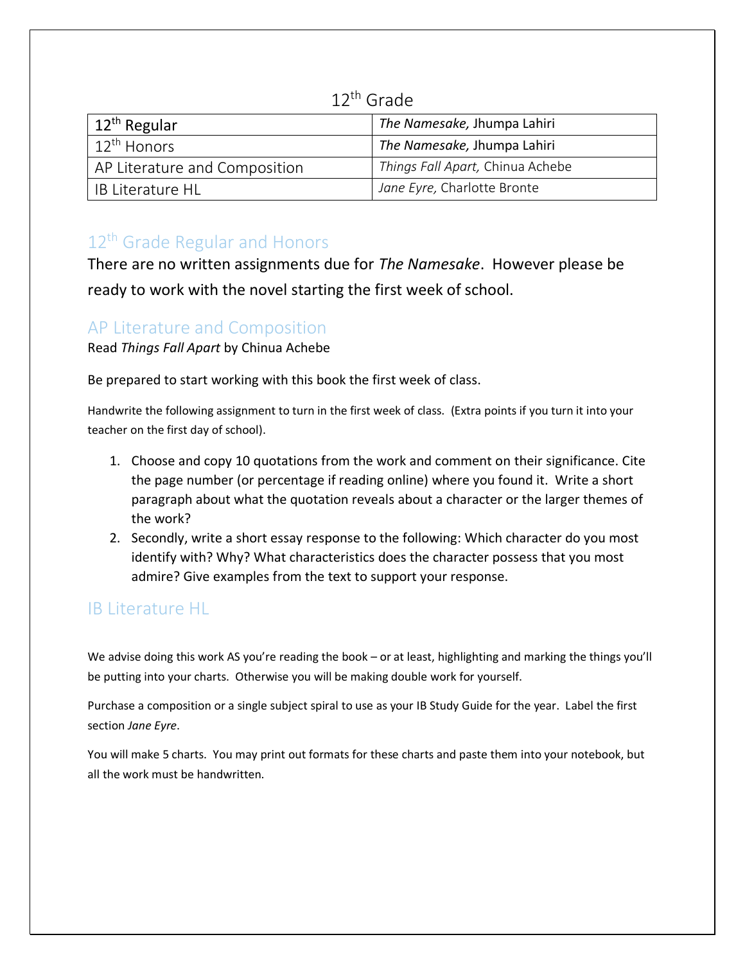## 12th Grade

<span id="page-11-0"></span>

| $12th$ Regular                | The Namesake, Jhumpa Lahiri      |
|-------------------------------|----------------------------------|
| ı 12 <sup>th</sup> Honors     | The Namesake, Jhumpa Lahiri      |
| AP Literature and Composition | Things Fall Apart, Chinua Achebe |
| <b>IB Literature HL</b>       | Jane Eyre, Charlotte Bronte      |

## <span id="page-11-1"></span>12<sup>th</sup> Grade Regular and Honors

There are no written assignments due for *The Namesake*. However please be ready to work with the novel starting the first week of school.

## <span id="page-11-2"></span>AP Literature and Composition

Read *Things Fall Apart* by Chinua Achebe

Be prepared to start working with this book the first week of class.

Handwrite the following assignment to turn in the first week of class. (Extra points if you turn it into your teacher on the first day of school).

- 1. Choose and copy 10 quotations from the work and comment on their significance. Cite the page number (or percentage if reading online) where you found it. Write a short paragraph about what the quotation reveals about a character or the larger themes of the work?
- 2. Secondly, write a short essay response to the following: Which character do you most identify with? Why? What characteristics does the character possess that you most admire? Give examples from the text to support your response.

# <span id="page-11-3"></span>IB Literature HL

We advise doing this work AS you're reading the book – or at least, highlighting and marking the things you'll be putting into your charts. Otherwise you will be making double work for yourself.

Purchase a composition or a single subject spiral to use as your IB Study Guide for the year. Label the first section *Jane Eyre*.

You will make 5 charts. You may print out formats for these charts and paste them into your notebook, but all the work must be handwritten.